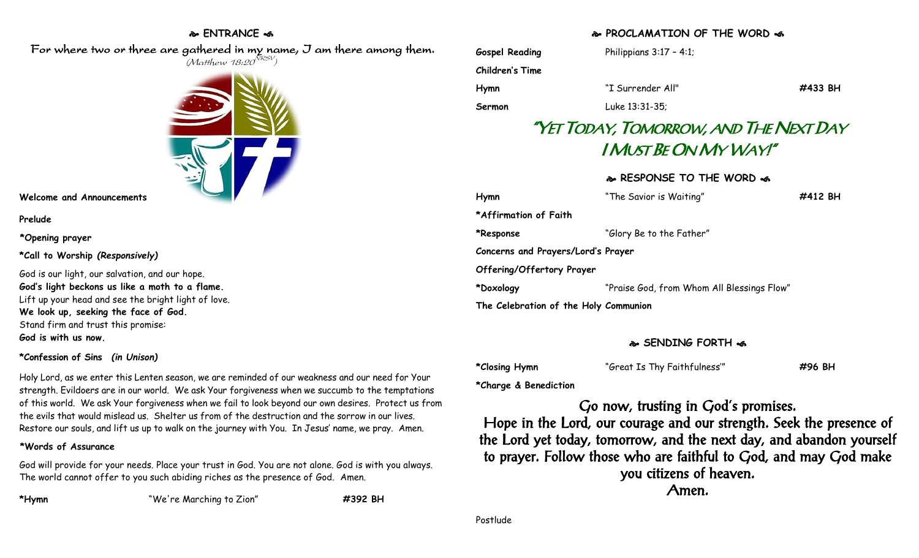# **ENTRANCE**

 For where two or three are gathered in my name, I am there among them.  $(M$ atthew 18:20 $^{NRSV})$ 



#### **Welcome and Announcements**

#### **Prelude**

#### **\*Opening prayer**

**\*Call to Worship** *(Responsively)*

God is our light, our salvation, and our hope. **God's light beckons us like a moth to a flame.** Lift up your head and see the bright light of love. **We look up, seeking the face of God.** Stand firm and trust this promise: **God is with us now.**

### **\*Confession of Sins** *(in Unison)*

Holy Lord, as we enter this Lenten season, we are reminded of our weakness and our need for Your strength. Evildoers are in our world. We ask Your forgiveness when we succumb to the temptations of this world. We ask Your forgiveness when we fail to look beyond our own desires. Protect us from the evils that would mislead us. Shelter us from of the destruction and the sorrow in our lives. Restore our souls, and lift us up to walk on the journey with You. In Jesus' name, we pray. Amen.

### **\*Words of Assurance**

God will provide for your needs. Place your trust in God. You are not alone. God is with you always. The world cannot offer to you such abiding riches as the presence of God. Amen.

**\*Hymn** "We're Marching to Zion" **#392 BH**

## **PROCLAMATION OF THE WORD**

| <b>Gospel Reading</b>                 | Philippians $3:17 - 4:1$ ;                 |         |
|---------------------------------------|--------------------------------------------|---------|
| <b>Children's Time</b>                |                                            |         |
| Hymn                                  | "I Surrender All"                          | #433 BH |
| Sermon                                | Luke 13:31-35;                             |         |
|                                       | "YET TODAY, TOMORROW, AND THE NEXT DAY     |         |
|                                       | I MUST BE ON MY WAY!"                      |         |
|                                       |                                            |         |
|                                       | & RESPONSE TO THE WORD &                   |         |
| Hymn                                  | "The Savior is Waiting"                    | #412 BH |
| *Affirmation of Faith                 |                                            |         |
| *Response                             | "Glory Be to the Father"                   |         |
| Concerns and Prayers/Lord's Prayer    |                                            |         |
| Offering/Offertory Prayer             |                                            |         |
| *Doxology                             | "Praise God, from Whom All Blessings Flow" |         |
| The Celebration of the Holy Communion |                                            |         |

## **SENDING FORTH**

| *Closing Hymn | "Great Is Thy Faithfulness" | #96 BH |
|---------------|-----------------------------|--------|
|---------------|-----------------------------|--------|

**\*Charge & Benediction**

Go now, trusting in God's promises. Hope in the Lord, our courage and our strength. Seek the presence of the Lord yet today, tomorrow, and the next day, and abandon yourself to prayer. Follow those who are faithful to God, and may God make you citizens of heaven. Amen.

Postlude